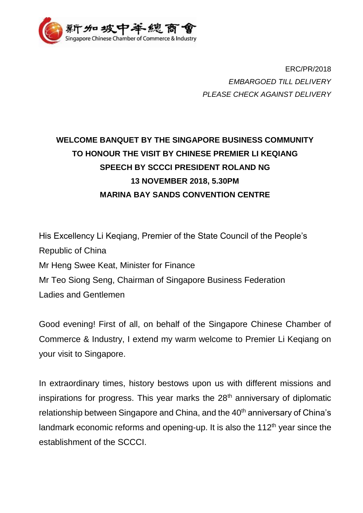

ERC/PR/2018 *EMBARGOED TILL DELIVERY PLEASE CHECK AGAINST DELIVERY*

## **WELCOME BANQUET BY THE SINGAPORE BUSINESS COMMUNITY TO HONOUR THE VISIT BY CHINESE PREMIER LI KEQIANG SPEECH BY SCCCI PRESIDENT ROLAND NG 13 NOVEMBER 2018, 5.30PM MARINA BAY SANDS CONVENTION CENTRE**

His Excellency Li Keqiang, Premier of the State Council of the People's Republic of China Mr Heng Swee Keat, Minister for Finance Mr Teo Siong Seng, Chairman of Singapore Business Federation Ladies and Gentlemen

Good evening! First of all, on behalf of the Singapore Chinese Chamber of Commerce & Industry, I extend my warm welcome to Premier Li Keqiang on your visit to Singapore.

In extraordinary times, history bestows upon us with different missions and inspirations for progress. This year marks the  $28<sup>th</sup>$  anniversary of diplomatic relationship between Singapore and China, and the 40<sup>th</sup> anniversary of China's landmark economic reforms and opening-up. It is also the  $112<sup>th</sup>$  year since the establishment of the SCCCI.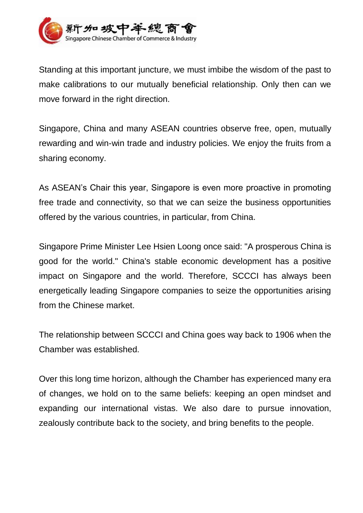

Standing at this important juncture, we must imbibe the wisdom of the past to make calibrations to our mutually beneficial relationship. Only then can we move forward in the right direction.

Singapore, China and many ASEAN countries observe free, open, mutually rewarding and win-win trade and industry policies. We enjoy the fruits from a sharing economy.

As ASEAN's Chair this year, Singapore is even more proactive in promoting free trade and connectivity, so that we can seize the business opportunities offered by the various countries, in particular, from China.

Singapore Prime Minister Lee Hsien Loong once said: "A prosperous China is good for the world." China's stable economic development has a positive impact on Singapore and the world. Therefore, SCCCI has always been energetically leading Singapore companies to seize the opportunities arising from the Chinese market.

The relationship between SCCCI and China goes way back to 1906 when the Chamber was established.

Over this long time horizon, although the Chamber has experienced many era of changes, we hold on to the same beliefs: keeping an open mindset and expanding our international vistas. We also dare to pursue innovation, zealously contribute back to the society, and bring benefits to the people.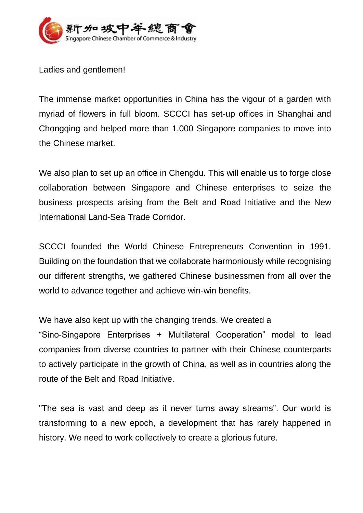

Ladies and gentlemen!

The immense market opportunities in China has the vigour of a garden with myriad of flowers in full bloom. SCCCI has set-up offices in Shanghai and Chongqing and helped more than 1,000 Singapore companies to move into the Chinese market.

We also plan to set up an office in Chengdu. This will enable us to forge close collaboration between Singapore and Chinese enterprises to seize the business prospects arising from the Belt and Road Initiative and the New International Land-Sea Trade Corridor.

SCCCI founded the World Chinese Entrepreneurs Convention in 1991. Building on the foundation that we collaborate harmoniously while recognising our different strengths, we gathered Chinese businessmen from all over the world to advance together and achieve win-win benefits.

We have also kept up with the changing trends. We created a

"Sino-Singapore Enterprises + Multilateral Cooperation" model to lead companies from diverse countries to partner with their Chinese counterparts to actively participate in the growth of China, as well as in countries along the route of the Belt and Road Initiative.

"The sea is vast and deep as it never turns away streams". Our world is transforming to a new epoch, a development that has rarely happened in history. We need to work collectively to create a glorious future.